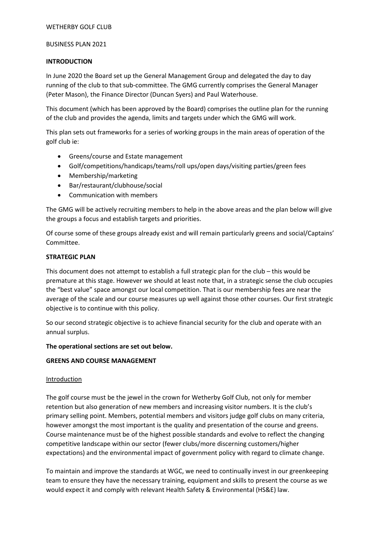### BUSINESS PLAN 2021

### **INTRODUCTION**

In June 2020 the Board set up the General Management Group and delegated the day to day running of the club to that sub-committee. The GMG currently comprises the General Manager (Peter Mason), the Finance Director (Duncan Syers) and Paul Waterhouse.

This document (which has been approved by the Board) comprises the outline plan for the running of the club and provides the agenda, limits and targets under which the GMG will work.

This plan sets out frameworks for a series of working groups in the main areas of operation of the golf club ie:

- Greens/course and Estate management
- Golf/competitions/handicaps/teams/roll ups/open days/visiting parties/green fees
- Membership/marketing
- Bar/restaurant/clubhouse/social
- Communication with members

The GMG will be actively recruiting members to help in the above areas and the plan below will give the groups a focus and establish targets and priorities.

Of course some of these groups already exist and will remain particularly greens and social/Captains' Committee.

### **STRATEGIC PLAN**

This document does not attempt to establish a full strategic plan for the club – this would be premature at this stage. However we should at least note that, in a strategic sense the club occupies the "best value" space amongst our local competition. That is our membership fees are near the average of the scale and our course measures up well against those other courses. Our first strategic objective is to continue with this policy.

So our second strategic objective is to achieve financial security for the club and operate with an annual surplus.

## **The operational sections are set out below.**

## **GREENS AND COURSE MANAGEMENT**

#### **Introduction**

The golf course must be the jewel in the crown for Wetherby Golf Club, not only for member retention but also generation of new members and increasing visitor numbers. It is the club's primary selling point. Members, potential members and visitors judge golf clubs on many criteria, however amongst the most important is the quality and presentation of the course and greens. Course maintenance must be of the highest possible standards and evolve to reflect the changing competitive landscape within our sector (fewer clubs/more discerning customers/higher expectations) and the environmental impact of government policy with regard to climate change.

To maintain and improve the standards at WGC, we need to continually invest in our greenkeeping team to ensure they have the necessary training, equipment and skills to present the course as we would expect it and comply with relevant Health Safety & Environmental (HS&E) law.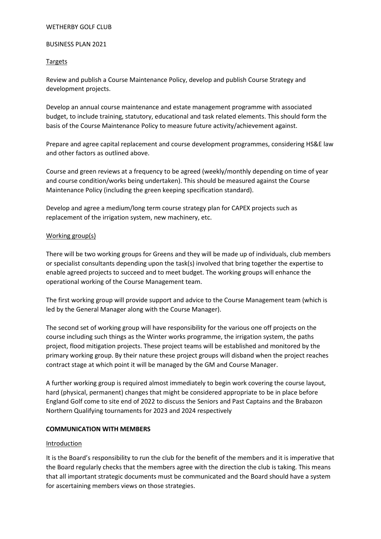### BUSINESS PLAN 2021

### Targets

Review and publish a Course Maintenance Policy, develop and publish Course Strategy and development projects.

Develop an annual course maintenance and estate management programme with associated budget, to include training, statutory, educational and task related elements. This should form the basis of the Course Maintenance Policy to measure future activity/achievement against.

Prepare and agree capital replacement and course development programmes, considering HS&E law and other factors as outlined above.

Course and green reviews at a frequency to be agreed (weekly/monthly depending on time of year and course condition/works being undertaken). This should be measured against the Course Maintenance Policy (including the green keeping specification standard).

Develop and agree a medium/long term course strategy plan for CAPEX projects such as replacement of the irrigation system, new machinery, etc.

### Working group(s)

There will be two working groups for Greens and they will be made up of individuals, club members or specialist consultants depending upon the task(s) involved that bring together the expertise to enable agreed projects to succeed and to meet budget. The working groups will enhance the operational working of the Course Management team.

The first working group will provide support and advice to the Course Management team (which is led by the General Manager along with the Course Manager).

The second set of working group will have responsibility for the various one off projects on the course including such things as the Winter works programme, the irrigation system, the paths project, flood mitigation projects. These project teams will be established and monitored by the primary working group. By their nature these project groups will disband when the project reaches contract stage at which point it will be managed by the GM and Course Manager.

A further working group is required almost immediately to begin work covering the course layout, hard (physical, permanent) changes that might be considered appropriate to be in place before England Golf come to site end of 2022 to discuss the Seniors and Past Captains and the Brabazon Northern Qualifying tournaments for 2023 and 2024 respectively

## **COMMUNICATION WITH MEMBERS**

#### Introduction

It is the Board's responsibility to run the club for the benefit of the members and it is imperative that the Board regularly checks that the members agree with the direction the club is taking. This means that all important strategic documents must be communicated and the Board should have a system for ascertaining members views on those strategies.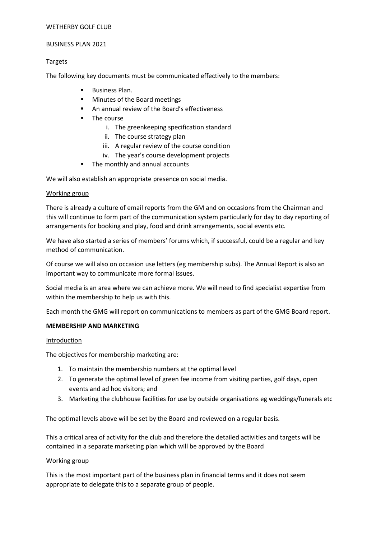### BUSINESS PLAN 2021

## Targets

The following key documents must be communicated effectively to the members:

- Business Plan.
- **Minutes of the Board meetings**
- An annual review of the Board's effectiveness
- **The course** 
	- i. The greenkeeping specification standard
	- ii. The course strategy plan
	- iii. A regular review of the course condition
	- iv. The year's course development projects
- The monthly and annual accounts

We will also establish an appropriate presence on social media.

### Working group

There is already a culture of email reports from the GM and on occasions from the Chairman and this will continue to form part of the communication system particularly for day to day reporting of arrangements for booking and play, food and drink arrangements, social events etc.

We have also started a series of members' forums which, if successful, could be a regular and key method of communication.

Of course we will also on occasion use letters (eg membership subs). The Annual Report is also an important way to communicate more formal issues.

Social media is an area where we can achieve more. We will need to find specialist expertise from within the membership to help us with this.

Each month the GMG will report on communications to members as part of the GMG Board report.

## **MEMBERSHIP AND MARKETING**

#### Introduction

The objectives for membership marketing are:

- 1. To maintain the membership numbers at the optimal level
- 2. To generate the optimal level of green fee income from visiting parties, golf days, open events and ad hoc visitors; and
- 3. Marketing the clubhouse facilities for use by outside organisations eg weddings/funerals etc

The optimal levels above will be set by the Board and reviewed on a regular basis.

This a critical area of activity for the club and therefore the detailed activities and targets will be contained in a separate marketing plan which will be approved by the Board

## Working group

This is the most important part of the business plan in financial terms and it does not seem appropriate to delegate this to a separate group of people.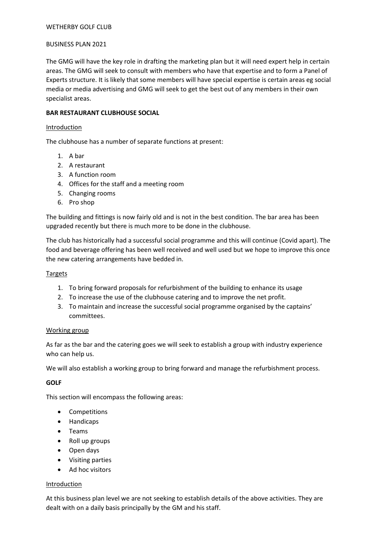### BUSINESS PLAN 2021

The GMG will have the key role in drafting the marketing plan but it will need expert help in certain areas. The GMG will seek to consult with members who have that expertise and to form a Panel of Experts structure. It is likely that some members will have special expertise is certain areas eg social media or media advertising and GMG will seek to get the best out of any members in their own specialist areas.

## **BAR RESTAURANT CLUBHOUSE SOCIAL**

### Introduction

The clubhouse has a number of separate functions at present:

- 1. A bar
- 2. A restaurant
- 3. A function room
- 4. Offices for the staff and a meeting room
- 5. Changing rooms
- 6. Pro shop

The building and fittings is now fairly old and is not in the best condition. The bar area has been upgraded recently but there is much more to be done in the clubhouse.

The club has historically had a successful social programme and this will continue (Covid apart). The food and beverage offering has been well received and well used but we hope to improve this once the new catering arrangements have bedded in.

## Targets

- 1. To bring forward proposals for refurbishment of the building to enhance its usage
- 2. To increase the use of the clubhouse catering and to improve the net profit.
- 3. To maintain and increase the successful social programme organised by the captains' committees.

## Working group

As far as the bar and the catering goes we will seek to establish a group with industry experience who can help us.

We will also establish a working group to bring forward and manage the refurbishment process.

## **GOLF**

This section will encompass the following areas:

- Competitions
- Handicaps
- Teams
- Roll up groups
- Open days
- Visiting parties
- Ad hoc visitors

## **Introduction**

At this business plan level we are not seeking to establish details of the above activities. They are dealt with on a daily basis principally by the GM and his staff.